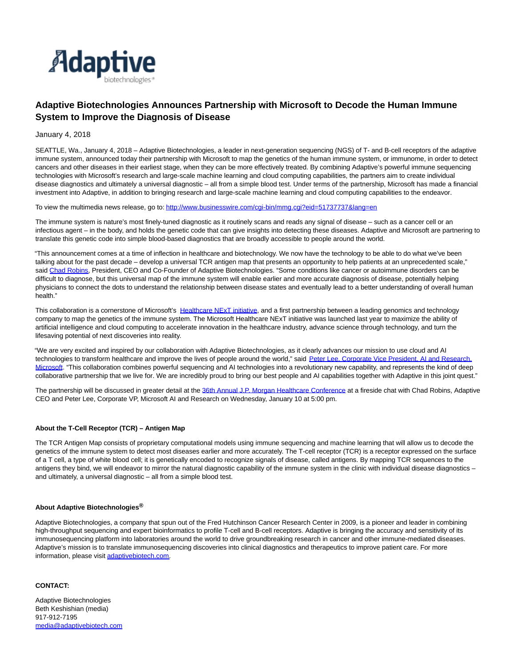

# **Adaptive Biotechnologies Announces Partnership with Microsoft to Decode the Human Immune System to Improve the Diagnosis of Disease**

### January 4, 2018

SEATTLE, Wa., January 4, 2018 – Adaptive Biotechnologies, a leader in next-generation sequencing (NGS) of T- and B-cell receptors of the adaptive immune system, announced today their partnership with Microsoft to map the genetics of the human immune system, or immunome, in order to detect cancers and other diseases in their earliest stage, when they can be more effectively treated. By combining Adaptive's powerful immune sequencing technologies with Microsoft's research and large-scale machine learning and cloud computing capabilities, the partners aim to create individual disease diagnostics and ultimately a universal diagnostic – all from a simple blood test. Under terms of the partnership, Microsoft has made a financial investment into Adaptive, in addition to bringing research and large-scale machine learning and cloud computing capabilities to the endeavor.

To view the multimedia news release, go to[: http://www.businesswire.com/cgi-bin/mmg.cgi?eid=51737737&lang=en](http://www.businesswire.com/cgi-bin/mmg.cgi?eid=51737737&lang=en)

The immune system is nature's most finely-tuned diagnostic as it routinely scans and reads any signal of disease – such as a cancer cell or an infectious agent – in the body, and holds the genetic code that can give insights into detecting these diseases. Adaptive and Microsoft are partnering to translate this genetic code into simple blood-based diagnostics that are broadly accessible to people around the world.

"This announcement comes at a time of inflection in healthcare and biotechnology. We now have the technology to be able to do what we've been talking about for the past decade – develop a universal TCR antigen map that presents an opportunity to help patients at an unprecedented scale," said [Chad Robins,](https://www.adaptivebiotech.com/about/leadership) President, CEO and Co-Founder of Adaptive Biotechnologies. "Some conditions like cancer or autoimmune disorders can be difficult to diagnose, but this universal map of the immune system will enable earlier and more accurate diagnosis of disease, potentially helping physicians to connect the dots to understand the relationship between disease states and eventually lead to a better understanding of overall human health."

This collaboration is a cornerstone of Microsoft's [Healthcare NExT initiative,](http://blogs.microsoft.com/blog/2017/02/16/microsoft-partners-combine-cloud-ai-research-industry-expertise-focus-transforming-health-care/) and a first partnership between a leading genomics and technology company to map the genetics of the immune system. The Microsoft Healthcare NExT initiative was launched last year to maximize the ability of artificial intelligence and cloud computing to accelerate innovation in the healthcare industry, advance science through technology, and turn the lifesaving potential of next discoveries into reality.

"We are very excited and inspired by our collaboration with Adaptive Biotechnologies, as it clearly advances our mission to use cloud and AI technologies to transform healthcare and improve the lives of people around the world," said [Peter Lee, Corporate Vice President, AI and Research,](https://blogs.microsoft.com/?p=52551358) Microsoft. "This collaboration combines powerful sequencing and AI technologies into a revolutionary new capability, and represents the kind of deep collaborative partnership that we live for. We are incredibly proud to bring our best people and AI capabilities together with Adaptive in this joint quest."

The partnership will be discussed in greater detail at the [36th Annual J.P. Morgan Healthcare Conference a](http://www.jpmorgan.com/country/CL/EN/detail/1320543220127)t a fireside chat with Chad Robins, Adaptive CEO and Peter Lee, Corporate VP, Microsoft AI and Research on Wednesday, January 10 at 5:00 pm.

### **About the T-Cell Receptor (TCR) – Antigen Map**

The TCR Antigen Map consists of proprietary computational models using immune sequencing and machine learning that will allow us to decode the genetics of the immune system to detect most diseases earlier and more accurately. The T-cell receptor (TCR) is a receptor expressed on the surface of a T cell, a type of white blood cell; it is genetically encoded to recognize signals of disease, called antigens. By mapping TCR sequences to the antigens they bind, we will endeavor to mirror the natural diagnostic capability of the immune system in the clinic with individual disease diagnostics and ultimately, a universal diagnostic – all from a simple blood test.

#### **About Adaptive Biotechnologies®**

Adaptive Biotechnologies, a company that spun out of the Fred Hutchinson Cancer Research Center in 2009, is a pioneer and leader in combining high-throughput sequencing and expert bioinformatics to profile T-cell and B-cell receptors. Adaptive is bringing the accuracy and sensitivity of its immunosequencing platform into laboratories around the world to drive groundbreaking research in cancer and other immune-mediated diseases. Adaptive's mission is to translate immunosequencing discoveries into clinical diagnostics and therapeutics to improve patient care. For more information, please visi[t adaptivebiotech.com.](https://www.adaptivebiotech.com/)

## **CONTACT:**

Adaptive Biotechnologies Beth Keshishian (media) 917-912-7195 [media@adaptivebiotech.com](mailto:media@adaptivebiotech.com)